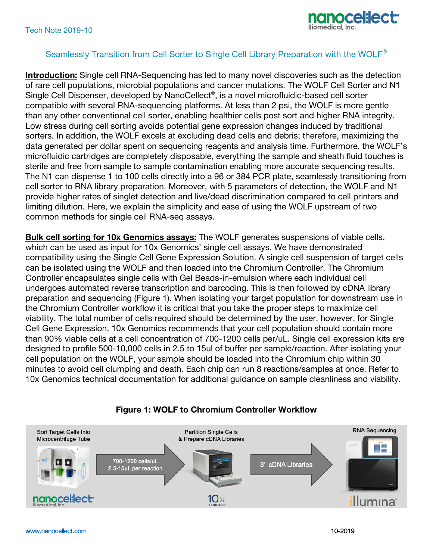

## Seamlessly Transition from Cell Sorter to Single Cell Library Preparation with the WOLF<sup>®</sup>

**Introduction:** Single cell RNA-Sequencing has led to many novel discoveries such as the detection of rare cell populations, microbial populations and cancer mutations. The WOLF Cell Sorter and N1 Single Cell Dispenser, developed by NanoCellect®, is a novel microfluidic-based cell sorter compatible with several RNA-sequencing platforms. At less than 2 psi, the WOLF is more gentle than any other conventional cell sorter, enabling healthier cells post sort and higher RNA integrity. Low stress during cell sorting avoids potential gene expression changes induced by traditional sorters. In addition, the WOLF excels at excluding dead cells and debris; therefore, maximizing the data generated per dollar spent on sequencing reagents and analysis time. Furthermore, the WOLF's microfluidic cartridges are completely disposable, everything the sample and sheath fluid touches is sterile and free from sample to sample contamination enabling more accurate sequencing results. The N1 can dispense 1 to 100 cells directly into a 96 or 384 PCR plate, seamlessly transitioning from cell sorter to RNA library preparation. Moreover, with 5 parameters of detection, the WOLF and N1 provide higher rates of singlet detection and live/dead discrimination compared to cell printers and limiting dilution. Here, we explain the simplicity and ease of using the WOLF upstream of two common methods for single cell RNA-seq assays.

**Bulk cell sorting for 10x Genomics assays:** The WOLF generates suspensions of viable cells, which can be used as input for 10x Genomics' single cell assays. We have demonstrated compatibility using the Single Cell Gene Expression Solution. A single cell suspension of target cells can be isolated using the WOLF and then loaded into the Chromium Controller. The Chromium Controller encapsulates single cells with Gel Beads-in-emulsion where each individual cell undergoes automated reverse transcription and barcoding. This is then followed by cDNA library preparation and sequencing (Figure 1). When isolating your target population for downstream use in the Chromium Controller workflow it is critical that you take the proper steps to maximize cell viability. The total number of cells required should be determined by the user, however, for Single Cell Gene Expression, 10x Genomics recommends that your cell population should contain more than 90% viable cells at a cell concentration of 700-1200 cells per/uL. Single cell expression kits are designed to profile 500-10,000 cells in 2.5 to 15ul of buffer per sample/reaction. After isolating your cell population on the WOLF, your sample should be loaded into the Chromium chip within 30 minutes to avoid cell clumping and death. Each chip can run 8 reactions/samples at once. Refer to 10x Genomics technical documentation for additional guidance on sample cleanliness and viability.



## **Figure 1: WOLF to Chromium Controller Workflow**